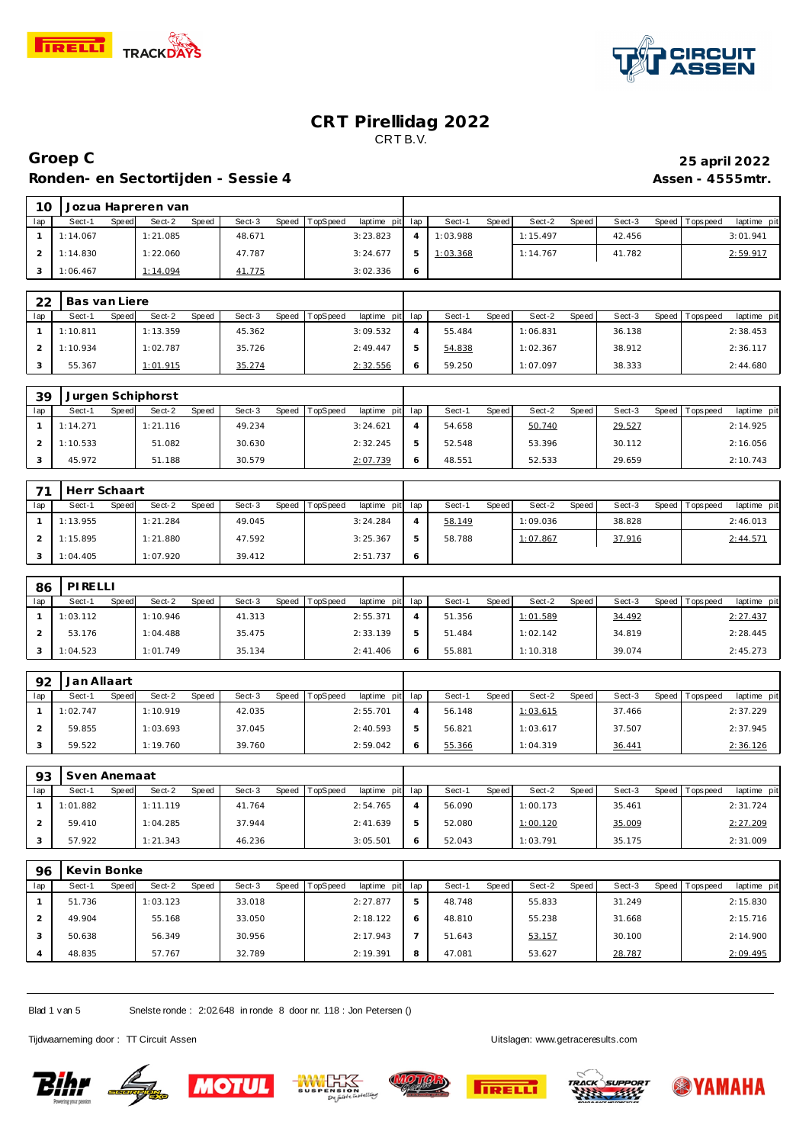

 $\mathsf{r}$ 



#### **CRT Pirellidag 2022** CRT B.V.

# **Groep C 25 april 2022 Ronden- en Sectortijden - Sessie 4 Assen - 4555mtr.**

| 10  |          |       | Jozua Hapreren van |       |        |                |                 |          |       |          |       |        |                 |             |
|-----|----------|-------|--------------------|-------|--------|----------------|-----------------|----------|-------|----------|-------|--------|-----------------|-------------|
| lap | Sect-1   | Speed | Sect-2             | Speed | Sect-3 | Speed TopSpeed | laptime pit lap | Sect-1   | Speed | Sect-2   | Speed | Sect-3 | Speed Tops peed | laptime pit |
|     | 1:14.067 |       | 1:21.085           |       | 48.671 |                | 3:23.823        | 1:03.988 |       | 1:15.497 |       | 42.456 |                 | 3:01.941    |
|     | 1:14.830 |       | 1:22.060           |       | 47.787 |                | 3:24.677        | 1:03.368 |       | 1:14.767 |       | 41.782 |                 | 2:59.917    |
|     | 1:06.467 |       | 1:14.094           |       | 41.775 |                | 3:02.336        |          |       |          |       |        |                 |             |

| 22  | Bas van Liere |       |          |       |        |       |          |                 |   |        |       |          |       |        |                 |             |
|-----|---------------|-------|----------|-------|--------|-------|----------|-----------------|---|--------|-------|----------|-------|--------|-----------------|-------------|
| lap | Sect-1        | Speed | Sect-2   | Speed | Sect-3 | Speed | TopSpeed | laptime pit lap |   | Sect-1 | Speed | Sect-2   | Speed | Sect-3 | Speed Tops peed | laptime pit |
|     | 1:10.811      |       | 1:13.359 |       | 45.362 |       |          | 3:09.532        |   | 55.484 |       | 1:06.831 |       | 36.138 |                 | 2:38.453    |
|     | 1:10.934      |       | 1:02.787 |       | 35.726 |       |          | 2:49.447        | ь | 54.838 |       | 1:02.367 |       | 38.912 |                 | 2:36.117    |
|     | 55.367        |       | 1:01.915 |       | 35.274 |       |          | 2:32.556        |   | 59.250 |       | 1:07.097 |       | 38.333 |                 | 2:44.680    |

| 39  | Jurgen Schiphorst |       |          |              |        |       |          |                 |   |        |       |        |       |        |                 |             |
|-----|-------------------|-------|----------|--------------|--------|-------|----------|-----------------|---|--------|-------|--------|-------|--------|-----------------|-------------|
| lap | Sect-1            | Speed | Sect-2   | <b>Speed</b> | Sect-3 | Speed | TopSpeed | laptime pit lap |   | Sect-1 | Speed | Sect-2 | Speed | Sect-3 | Speed Tops peed | laptime pit |
|     | 1:14.271          |       | 1:21.116 |              | 49.234 |       |          | 3:24.621        |   | 54.658 |       | 50.740 |       | 29.527 |                 | 2:14.925    |
|     | 1:10.533          |       | 51.082   |              | 30.630 |       |          | 2:32.245        | 5 | 52.548 |       | 53.396 |       | 30.112 |                 | 2:16.056    |
|     | 45.972            |       | 51.188   |              | 30.579 |       |          | 2:07.739        | 6 | 48.551 |       | 52.533 |       | 29.659 |                 | 2:10.743    |

| 71  | Herr Schaart |       |          |              |        |       |          |                 |   |        |       |          |       |        |                 |             |
|-----|--------------|-------|----------|--------------|--------|-------|----------|-----------------|---|--------|-------|----------|-------|--------|-----------------|-------------|
| lap | Sect-1       | Speed | Sect-2   | <b>Speed</b> | Sect-3 | Speed | TopSpeed | laptime pit lap |   | Sect-1 | Speed | Sect-2   | Speed | Sect-3 | Speed Tops peed | laptime pit |
|     | 1:13.955     |       | 1:21.284 |              | 49.045 |       |          | 3:24.284        | 4 | 58.149 |       | 1:09.036 |       | 38.828 |                 | 2:46.013    |
|     | 1:15.895     |       | 1:21.880 |              | 47.592 |       |          | 3:25.367        |   | 58.788 |       | 1:07.867 |       | 37.916 |                 | 2:44.571    |
|     | 1:04.405     |       | 1:07.920 |              | 39.412 |       |          | 2:51.737        |   |        |       |          |       |        |                 |             |

| 86  | PIRELL   |       |          |       |        |       |          |                 |        |              |          |       |        |                |             |
|-----|----------|-------|----------|-------|--------|-------|----------|-----------------|--------|--------------|----------|-------|--------|----------------|-------------|
| lap | Sect-1   | Speed | Sect-2   | Speed | Sect-3 | Speed | TopSpeed | laptime pit lap | Sect-1 | <b>Speed</b> | Sect-2   | Speed | Sect-3 | Speed Topspeed | laptime pit |
|     | 1:03.112 |       | 1:10.946 |       | 41.313 |       |          | 2:55.371        | 51.356 |              | 1:01.589 |       | 34.492 |                | 2:27.437    |
|     | 53.176   |       | 1:04.488 |       | 35.475 |       |          | 2:33.139        | 51.484 |              | 1:02.142 |       | 34.819 |                | 2:28.445    |
|     | 1:04.523 |       | 1:01.749 |       | 35.134 |       |          | 2:41.406        | 55.881 |              | 1:10.318 |       | 39.074 |                | 2:45.273    |

| 92  | Jan Allaart |       |          |       |        |       |          |                 |        |       |          |       |        |                 |             |
|-----|-------------|-------|----------|-------|--------|-------|----------|-----------------|--------|-------|----------|-------|--------|-----------------|-------------|
| lap | Sect-1      | Speed | Sect-2   | Speed | Sect-3 | Speed | TopSpeed | laptime pit lap | Sect-1 | Speed | Sect-2   | Speed | Sect-3 | Speed Tops peed | laptime pit |
|     | 1:02.747    |       | 1:10.919 |       | 42.035 |       |          | 2:55.701        | 56.148 |       | 1:03.615 |       | 37.466 |                 | 2:37.229    |
|     | 59.855      |       | 1:03.693 |       | 37.045 |       |          | 2:40.593        | 56.821 |       | 1:03.617 |       | 37.507 |                 | 2:37.945    |
|     | 59.522      |       | 1:19.760 |       | 39.760 |       |          | 2:59.042        | 55.366 |       | 1:04.319 |       | 36.441 |                 | 2:36.126    |

| 93  | Sven Anemaat |       |          |              |        |       |          |                 |   |        |       |          |       |        |                 |                |
|-----|--------------|-------|----------|--------------|--------|-------|----------|-----------------|---|--------|-------|----------|-------|--------|-----------------|----------------|
| lap | Sect-1       | Speed | Sect-2   | <b>Speed</b> | Sect-3 | Speed | TopSpeed | laptime pit lap |   | Sect-  | Speed | Sect-2   | Speed | Sect-3 | Speed Tops peed | laptime<br>pit |
|     | 1:01.882     |       | 1:11.119 |              | 41.764 |       |          | 2:54.765        |   | 56.090 |       | 1:00.173 |       | 35.461 |                 | 2:31.724       |
|     | 59.410       |       | 1:04.285 |              | 37.944 |       |          | 2:41.639        | 5 | 52.080 |       | 1:00.120 |       | 35.009 |                 | 2:27.209       |
|     | 57.922       |       | 1:21.343 |              | 46.236 |       |          | 3:05.501        | 6 | 52.043 |       | 1:03.791 |       | 35.175 |                 | 2:31.009       |

| 96  | Kevin Bonke |              |          |              |        |       |                 |             |     |        |       |        |              |        |       |           |             |
|-----|-------------|--------------|----------|--------------|--------|-------|-----------------|-------------|-----|--------|-------|--------|--------------|--------|-------|-----------|-------------|
| lap | Sect-1      | <b>Speed</b> | Sect-2   | <b>Speed</b> | Sect-3 | Speed | <b>TopSpeed</b> | laptime pit | lap | Sect-1 | Speed | Sect-2 | <b>Speed</b> | Sect-3 | Speed | Tops peed | laptime pit |
|     | 51.736      |              | 1:03.123 |              | 33.018 |       |                 | 2:27.877    | ь   | 48.748 |       | 55.833 |              | 31.249 |       |           | 2:15.830    |
|     | 49.904      |              | 55.168   |              | 33.050 |       |                 | 2:18.122    | 6   | 48.810 |       | 55.238 |              | 31.668 |       |           | 2:15.716    |
|     | 50.638      |              | 56.349   |              | 30.956 |       |                 | 2:17.943    |     | 51.643 |       | 53.157 |              | 30.100 |       |           | 2:14.900    |
|     | 48.835      |              | 57.767   |              | 32.789 |       |                 | 2:19.391    | 8   | 47.081 |       | 53.627 |              | 28.787 |       |           | 2:09.495    |

Blad 1 v an 5 Snelste ronde : 2:02.648 in ronde 8 door nr. 118 : Jon Petersen ()

Tijdwaarneming door : TT Circuit Assen enter the state of the Uitslagen:<www.getraceresults.com>











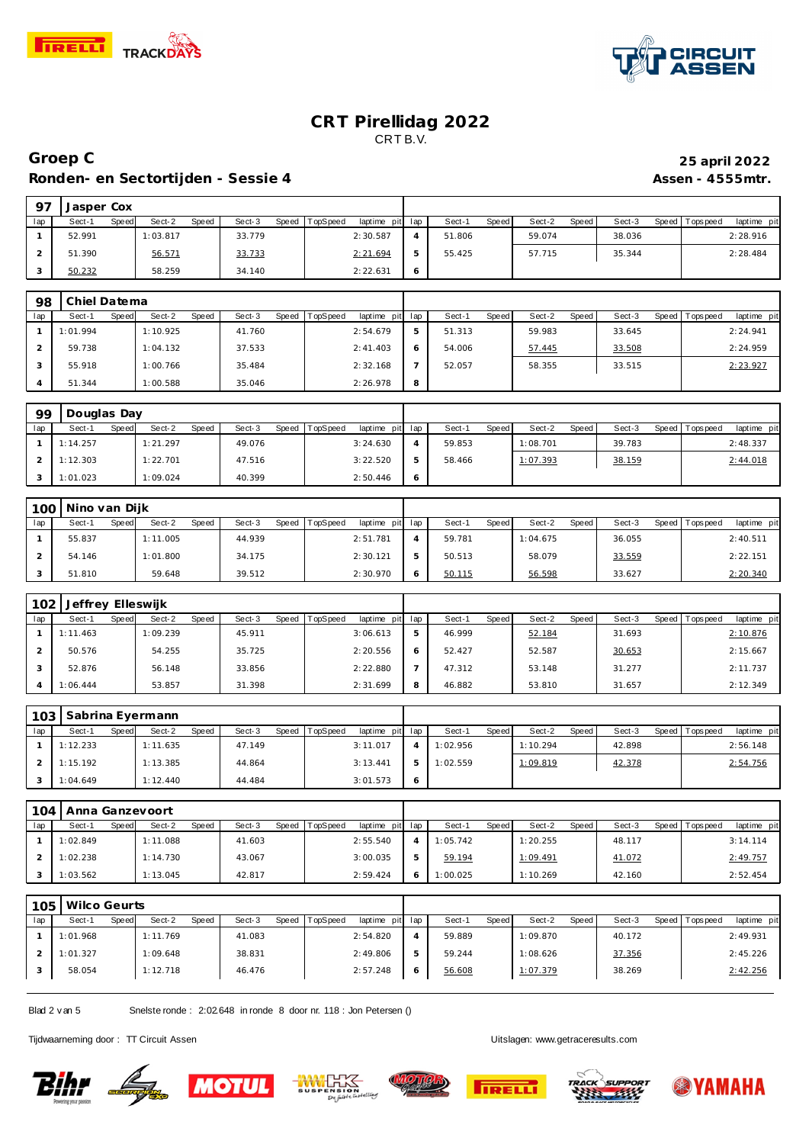

 **Jasper Cox**



#### **CRT Pirellidag 2022** CRT B.V.

# **Groep C 25 april 2022 Ronden- en Sectortijden - Sessie 4 Assen - 4555mtr.**

| lap            | Sect-1                      | Speed        | Sect-2           | Speed | Sect-3 | Speed        | TopSpeed | laptime pit             | lap            | Sect-1   | Speed        | Sect-2   | <b>Speed</b> | Sect-3 |       | Speed   Tops peed | laptime pit |
|----------------|-----------------------------|--------------|------------------|-------|--------|--------------|----------|-------------------------|----------------|----------|--------------|----------|--------------|--------|-------|-------------------|-------------|
| $\mathbf{1}$   | 52.991                      |              | 1:03.817         |       | 33.779 |              |          | 2:30.587                | 4              | 51.806   |              | 59.074   |              | 38.036 |       |                   | 2:28.916    |
| $\overline{2}$ | 51.390                      |              | 56.571           |       | 33.733 |              |          | 2:21.694                | 5              | 55.425   |              | 57.715   |              | 35.344 |       |                   | 2:28.484    |
| 3              | 50.232                      |              | 58.259           |       | 34.140 |              |          | 2:22.631                | 6              |          |              |          |              |        |       |                   |             |
|                |                             |              |                  |       |        |              |          |                         |                |          |              |          |              |        |       |                   |             |
| 98             | Chiel Datema                |              |                  |       |        |              |          |                         |                |          |              |          |              |        |       |                   |             |
| lap            | Sect-1                      | Speed        | Sect-2           | Speed | Sect-3 | <b>Speed</b> | TopSpeed | laptime pit             | lap            | Sect-1   | Speed        | Sect-2   | Speed        | Sect-3 |       | Speed Topspeed    | laptime pit |
| $\mathbf{1}$   | 1:01.994                    |              | 1:10.925         |       | 41.760 |              |          | 2:54.679                | 5              | 51.313   |              | 59.983   |              | 33.645 |       |                   | 2:24.941    |
| $\overline{2}$ | 59.738                      |              | 1:04.132         |       | 37.533 |              |          | 2: 41.403               | 6              | 54.006   |              | 57.445   |              | 33.508 |       |                   | 2:24.959    |
| 3              | 55.918                      |              | 1:00.766         |       | 35.484 |              |          | 2:32.168                | $\overline{7}$ | 52.057   |              | 58.355   |              | 33.515 |       |                   | 2:23.927    |
| $\overline{4}$ | 51.344                      |              | 1:00.588         |       | 35.046 |              |          | 2:26.978                | 8              |          |              |          |              |        |       |                   |             |
|                |                             |              |                  |       |        |              |          |                         |                |          |              |          |              |        |       |                   |             |
| 99             | Douglas Day                 |              |                  |       |        |              |          |                         |                |          |              |          |              |        |       |                   |             |
| lap            | Sect-1                      | Speed        | Sect-2           | Speed | Sect-3 | Speed        | TopSpeed | laptime pit             | lap            | Sect-1   | Speed        | Sect-2   | Speed        | Sect-3 | Speed | Tops pee d        | laptime pit |
| $\mathbf{1}$   | 1:14.257                    |              | 1:21.297         |       | 49.076 |              |          | 3:24.630                | $\overline{4}$ | 59.853   |              | 1:08.701 |              | 39.783 |       |                   | 2:48.337    |
| $\overline{2}$ | 1:12.303                    |              | 1:22.701         |       | 47.516 |              |          | 3:22.520                | 5              | 58.466   |              | 1:07.393 |              | 38.159 |       |                   | 2:44.018    |
| 3              | 1:01.023                    |              | 1:09.024         |       | 40.399 |              |          | 2:50.446                | 6              |          |              |          |              |        |       |                   |             |
|                |                             |              |                  |       |        |              |          |                         |                |          |              |          |              |        |       |                   |             |
| 100            | Nino van Dijk               |              |                  |       |        |              |          |                         |                |          |              |          |              |        |       |                   |             |
| lap            | Sect-1                      | Speed        | Sect-2           | Speed | Sect-3 | Speed        | TopSpeed | laptime pit             | lap            | Sect-1   | Speed        | Sect-2   | Speed        | Sect-3 | Speed | T ops pee d       | laptime pit |
| $\mathbf{1}$   | 55.837                      |              | 1:11.005         |       | 44.939 |              |          | 2:51.781                | 4              | 59.781   |              | 1:04.675 |              | 36.055 |       |                   | 2:40.511    |
| $\overline{2}$ | 54.146                      |              | 1:01.800         |       | 34.175 |              |          | 2:30.121                | 5              | 50.513   |              | 58.079   |              | 33.559 |       |                   | 2:22.151    |
| 3              | 51.810                      |              | 59.648           |       | 39.512 |              |          | 2:30.970                | 6              | 50.115   |              | 56.598   |              | 33.627 |       |                   | 2:20.340    |
|                |                             |              |                  |       |        |              |          |                         |                |          |              |          |              |        |       |                   |             |
| 102<br>lap     | Jeffrey Elleswijk<br>Sect-1 | Speed        | Sect-2           | Speed | Sect-3 | Speed        | TopSpeed |                         | lap            | Sect-1   | <b>Speed</b> | Sect-2   | <b>Speed</b> | Sect-3 |       | Speed Topspeed    | laptime pit |
| $\mathbf{1}$   | 1:11.463                    |              | 1:09.239         |       | 45.911 |              |          | laptime pit<br>3:06.613 | 5              | 46.999   |              | 52.184   |              | 31.693 |       |                   | 2:10.876    |
| $\overline{2}$ | 50.576                      |              | 54.255           |       | 35.725 |              |          | 2:20.556                | 6              | 52.427   |              | 52.587   |              | 30.653 |       |                   | 2:15.667    |
| 3              | 52.876                      |              | 56.148           |       | 33.856 |              |          | 2:22.880                | $\overline{7}$ | 47.312   |              | 53.148   |              | 31.277 |       |                   | 2:11.737    |
| $\overline{4}$ | 1:06.444                    |              | 53.857           |       | 31.398 |              |          | 2:31.699                | 8              | 46.882   |              | 53.810   |              | 31.657 |       |                   |             |
|                |                             |              |                  |       |        |              |          |                         |                |          |              |          |              |        |       |                   | 2:12.349    |
| 103            |                             |              | Sabrina Eyermann |       |        |              |          |                         |                |          |              |          |              |        |       |                   |             |
| lap            | Sect-1                      | Speed        | Sect-2           | Speed | Sect-3 | Speed        | TopSpeed | laptime pit             | lap            | Sect-1   | Speed        | Sect-2   | Speed        | Sect-3 |       | Speed   Tops peed | laptime pit |
| $\mathbf{1}$   | 1:12.233                    |              | 1:11.635         |       | 47.149 |              |          | 3:11.017                | $\overline{4}$ | 1:02.956 |              | 1:10.294 |              | 42.898 |       |                   | 2:56.148    |
| $\overline{2}$ | 1:15.192                    |              | 1:13.385         |       | 44.864 |              |          | 3:13.441                | 5              | 1:02.559 |              | 1:09.819 |              | 42.378 |       |                   | 2:54.756    |
| 3              | 1:04.649                    |              | 1:12.440         |       | 44.484 |              |          | 3:01.573                | 6              |          |              |          |              |        |       |                   |             |
|                |                             |              |                  |       |        |              |          |                         |                |          |              |          |              |        |       |                   |             |
| 104            | Anna Ganzevoort             |              |                  |       |        |              |          |                         |                |          |              |          |              |        |       |                   |             |
| lap            | Sect-1                      | <b>Speed</b> | Sect-2           | Speed | Sect-3 | Speed        | TopSpeed | laptime pit             | lap            | Sect-1   | <b>Speed</b> | Sect-2   | Speed        | Sect-3 |       | Speed Topspeed    | laptime pit |

| lap | Sect-1   | Speed | Sect-2   | Speed | Sect-3 | Speed TopSpeed | laptime  | pit lap | Sect-1   | Speed | Sect-2   | Speed | Sect-3 | Speed Tops peed | laptime pit |  |
|-----|----------|-------|----------|-------|--------|----------------|----------|---------|----------|-------|----------|-------|--------|-----------------|-------------|--|
|     | 1:02.849 |       | 1:11.088 |       | 41.603 |                | 2:55.540 |         | 1:05.742 |       | 1:20.255 |       | 48.117 |                 | 3:14.114    |  |
|     | 1:02.238 |       | 1:14.730 |       | 43.067 |                | 3:00.035 |         | 59.194   |       | 1:09.491 |       | 41.072 |                 | 2:49.757    |  |
|     | 1:03.562 |       | 1:13.045 |       | 42.817 |                | 2:59.424 |         | 1:00.025 |       | 1:10.269 |       | 42.160 |                 | 2:52.454    |  |

| 105 |          | Wilco Geurts |          |       |        |       |          |                 |        |              |          |       |        |                 |             |
|-----|----------|--------------|----------|-------|--------|-------|----------|-----------------|--------|--------------|----------|-------|--------|-----------------|-------------|
| lap | Sect-1   | Speed        | Sect-2   | Speed | Sect-3 | Speed | TopSpeed | laptime pit lap | Sect-1 | <b>Speed</b> | Sect-2   | Speed | Sect-3 | Speed Tops peed | laptime pit |
|     | 1:01.968 |              | 1:11.769 |       | 41.083 |       |          | 2:54.820        | 59.889 |              | 1:09.870 |       | 40.172 |                 | 2:49.931    |
|     | 1:01.327 |              | 1:09.648 |       | 38.831 |       |          | 2:49.806        | 59.244 |              | 1:08.626 |       | 37.356 |                 | 2:45.226    |
|     | 58.054   |              | 1:12.718 |       | 46.476 |       |          | 2:57.248        | 56.608 |              | 1:07.379 |       | 38.269 |                 | 2:42.256    |
|     |          |              |          |       |        |       |          |                 |        |              |          |       |        |                 |             |

Blad 2 v an 5 Snelste ronde : 2:02.648 in ronde 8 door nr. 118 : Jon Petersen ()

Tijdwaarneming door : TT Circuit Assen and the state of the state of the Uitslagen:<www.getraceresults.com>

<u>Bihr Light</u>









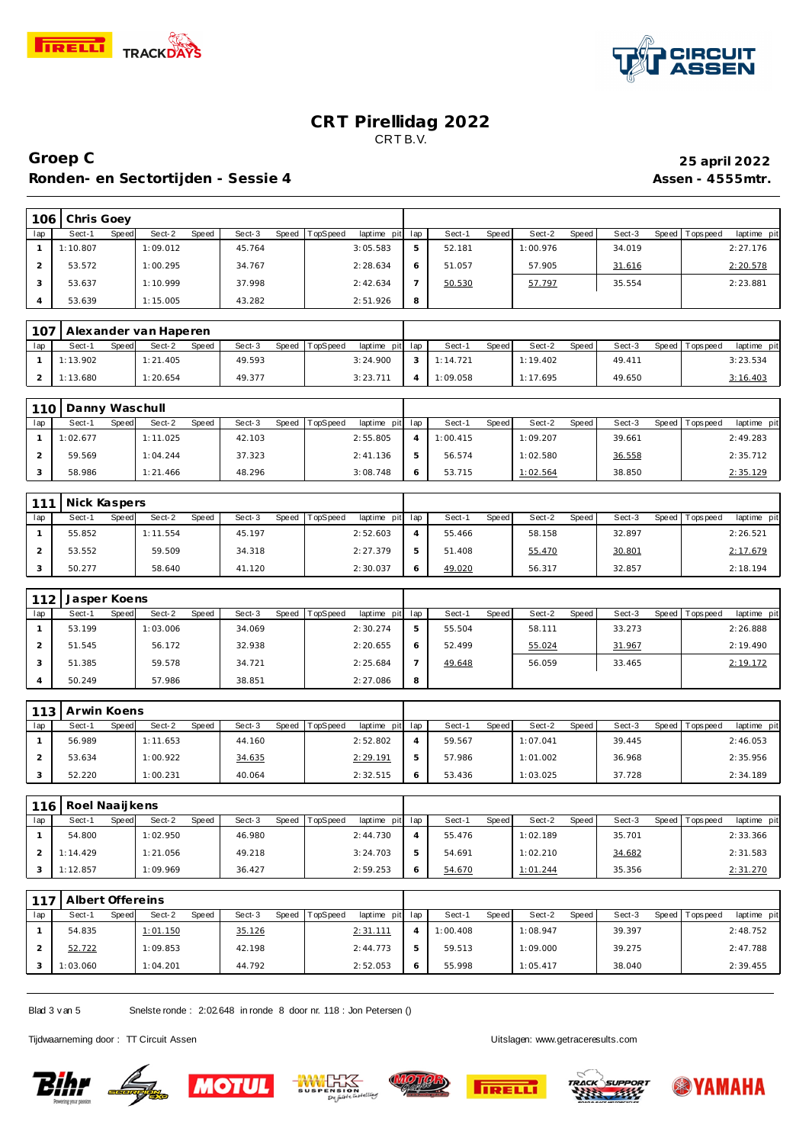



### **CRT Pirellidag 2022** CRT B.V.

### **Groep C 25 april 2022 Ronden- en Sectortijden - Sessie 4 Assen - 4555mtr.**

| 106 | Chris Goev |       |          |       |        |       |          |                 |   |        |       |          |       |        |                 |             |  |
|-----|------------|-------|----------|-------|--------|-------|----------|-----------------|---|--------|-------|----------|-------|--------|-----------------|-------------|--|
| lap | Sect-1     | Speed | Sect-2   | Speed | Sect-3 | Speed | TopSpeed | laptime pit lap |   | Sect-1 | Speed | Sect-2   | Speed | Sect-3 | Speed Tops peed | laptime pit |  |
|     | 1:10.807   |       | 1:09.012 |       | 45.764 |       |          | 3:05.583        | 5 | 52.181 |       | 1:00.976 |       | 34.019 |                 | 2:27.176    |  |
|     | 53.572     |       | 1:00.295 |       | 34.767 |       |          | 2:28.634        |   | 51.057 |       | 57.905   |       | 31.616 |                 | 2:20.578    |  |
|     | 53.637     |       | 1:10.999 |       | 37.998 |       |          | 2:42.634        |   | 50.530 |       | 57.797   |       | 35.554 |                 | 2:23.881    |  |
|     | 53.639     |       | 1:15.005 |       | 43.282 |       |          | 2:51.926        | 8 |        |       |          |       |        |                 |             |  |

|     | 107   Alexander van Haperen |       |          |       |        |                |                 |          |       |          |         |        |                   |             |
|-----|-----------------------------|-------|----------|-------|--------|----------------|-----------------|----------|-------|----------|---------|--------|-------------------|-------------|
| lap | Sect-1                      | Speed | Sect-2   | Speed | Sect-3 | Speed TopSpeed | laptime pit lap | Sect-1   | Speed | Sect-2   | Speed I | Sect-3 | Speed   Tops peed | laptime pit |
|     | 1:13.902                    |       | 1:21.405 |       | 49.593 |                | 3:24.900        | 1:14.721 |       | 1:19.402 |         | 49.411 |                   | 3:23.534    |
|     | 1:13.680                    |       | 1:20.654 |       | 49.377 |                | 3:23.711        | 1:09.058 |       | 1:17.695 |         | 49.650 |                   | 3:16.403    |

|     | 110 Danny Waschull |       |          |       |        |                |                 |          |       |          |       |        |       |           |             |
|-----|--------------------|-------|----------|-------|--------|----------------|-----------------|----------|-------|----------|-------|--------|-------|-----------|-------------|
| lap | Sect-1             | Speed | Sect-2   | Speed | Sect-3 | Speed TopSpeed | laptime pit lap | Sect-'   | Speed | Sect-2   | Speed | Sect-3 | Speed | Tops peed | laptime pit |
|     | 1:02.677           |       | 1:11.025 |       | 42.103 |                | 2:55.805        | 1:00.415 |       | 1:09.207 |       | 39.661 |       |           | 2:49.283    |
|     | 59.569             |       | 1:04.244 |       | 37.323 |                | 2:41.136        | 56.574   |       | 1:02.580 |       | 36.558 |       |           | 2:35.712    |
|     | 58.986             |       | 1:21.466 |       | 48.296 |                | 3:08.748        | 53.715   |       | 1:02.564 |       | 38.850 |       |           | 2:35.129    |

| 111 | Nick Kaspers |       |          |       |        |       |          |             |     |        |              |        |       |        |       |          |             |
|-----|--------------|-------|----------|-------|--------|-------|----------|-------------|-----|--------|--------------|--------|-------|--------|-------|----------|-------------|
| lap | Sect-1       | Speed | Sect-2   | Speed | Sect-3 | Speed | TopSpeed | laptime pit | lap | Sect-1 | <b>Speed</b> | Sect-2 | Speed | Sect-3 | Speed | Topspeed | laptime pit |
|     | 55.852       |       | 1:11.554 |       | 45.197 |       |          | 2:52.603    |     | 55.466 |              | 58.158 |       | 32.897 |       |          | 2:26.521    |
|     | 53.552       |       | 59.509   |       | 34.318 |       |          | 2:27.379    | 5   | 51.408 |              | 55.470 |       | 30.801 |       |          | 2:17.679    |
|     | 50.277       |       | 58.640   |       | 41.120 |       |          | 2:30.037    | O   | 49.020 |              | 56.317 |       | 32.857 |       |          | 2:18.194    |

| 112 | Jasper Koens |       |          |       |        |       |          |             |     |        |       |        |       |        |         |            |             |
|-----|--------------|-------|----------|-------|--------|-------|----------|-------------|-----|--------|-------|--------|-------|--------|---------|------------|-------------|
| lap | Sect-1       | Speed | Sect-2   | Speed | Sect-3 | Speed | TopSpeed | laptime pit | lap | Sect-1 | Speed | Sect-2 | Speed | Sect-3 | Speed I | Tops pee d | laptime pit |
|     | 53.199       |       | 1:03.006 |       | 34.069 |       |          | 2:30.274    | ь   | 55.504 |       | 58.111 |       | 33.273 |         |            | 2:26.888    |
|     | 51.545       |       | 56.172   |       | 32.938 |       |          | 2:20.655    | 6   | 52.499 |       | 55.024 |       | 31.967 |         |            | 2:19.490    |
|     | 51.385       |       | 59.578   |       | 34.721 |       |          | 2:25.684    |     | 49.648 |       | 56.059 |       | 33.465 |         |            | 2:19.172    |
|     | 50.249       |       | 57.986   |       | 38.851 |       |          | 2:27.086    | 8   |        |       |        |       |        |         |            |             |

| 113 <sub>1</sub> | Arwin Koens |       |          |       |        |       |          |                 |              |        |       |          |       |        |                   |             |
|------------------|-------------|-------|----------|-------|--------|-------|----------|-----------------|--------------|--------|-------|----------|-------|--------|-------------------|-------------|
| lap              | Sect-1      | Speed | Sect-2   | Speed | Sect-3 | Speed | TopSpeed | laptime pit lap |              | Sect-1 | Speed | Sect-2   | Speed | Sect-3 | Speed   Tops peed | laptime pit |
|                  | 56.989      |       | 1:11.653 |       | 44.160 |       |          | 2:52.802        |              | 59.567 |       | 1:07.041 |       | 39.445 |                   | 2:46.053    |
|                  | 53.634      |       | 1:00.922 |       | 34.635 |       |          | 2:29.191        |              | 57.986 |       | 1:01.002 |       | 36.968 |                   | 2:35.956    |
|                  | 52.220      |       | 1:00.231 |       | 40.064 |       |          | 2:32.515        | <sub>6</sub> | 53.436 |       | 1:03.025 |       | 37.728 |                   | 2:34.189    |

| 116 | Roel Naaijkens |       |          |       |        |       |          |                 |    |        |       |          |       |        |                 |             |
|-----|----------------|-------|----------|-------|--------|-------|----------|-----------------|----|--------|-------|----------|-------|--------|-----------------|-------------|
| lap | Sect-1         | Speed | Sect-2   | Speed | Sect-3 | Speed | TopSpeed | laptime pit lap |    | Sect-1 | Speed | Sect-2   | Speed | Sect-3 | Speed Tops peed | laptime pit |
|     | 54.800         |       | 1:02.950 |       | 46.980 |       |          | 2:44.730        |    | 55.476 |       | 1:02.189 |       | 35.701 |                 | 2:33.366    |
|     | 1:14.429       |       | 1:21.056 |       | 49.218 |       |          | 3:24.703        | -5 | 54.691 |       | 1:02.210 |       | 34.682 |                 | 2:31.583    |
|     | 1:12.857       |       | 1:09.969 |       | 36.427 |       |          | 2:59.253        | 6  | 54.670 |       | 1:01.244 |       | 35.356 |                 | 2:31.270    |

| 117 | Albert Offereins |       |          |       |        |                  |                 |   |          |       |          |       |        |                 |             |
|-----|------------------|-------|----------|-------|--------|------------------|-----------------|---|----------|-------|----------|-------|--------|-----------------|-------------|
| lap | Sect-1           | Speed | Sect-2   | Speed | Sect-3 | Speed   TopSpeed | laptime pit lap |   | Sect-1   | Speed | Sect-2   | Speed | Sect-3 | Speed Tops peed | laptime pit |
|     | 54.835           |       | 1:01.150 |       | 35.126 |                  | 2:31.111        |   | 1:00.408 |       | 1:08.947 |       | 39.397 |                 | 2:48.752    |
|     | 52.722           |       | 1:09.853 |       | 42.198 |                  | 2:44.773        | ь | 59.513   |       | 1:09.000 |       | 39.275 |                 | 2:47.788    |
|     | 1:03.060         |       | 1:04.201 |       | 44.792 |                  | 2:52.053        | O | 55.998   |       | 1:05.417 |       | 38.040 |                 | 2:39.455    |

Blad 3 v an 5 Snelste ronde : 2:02.648 in ronde 8 door nr. 118 : Jon Petersen ()

Tijdwaarneming door : TT Circuit Assen Uitslagen:<www.getraceresults.com>









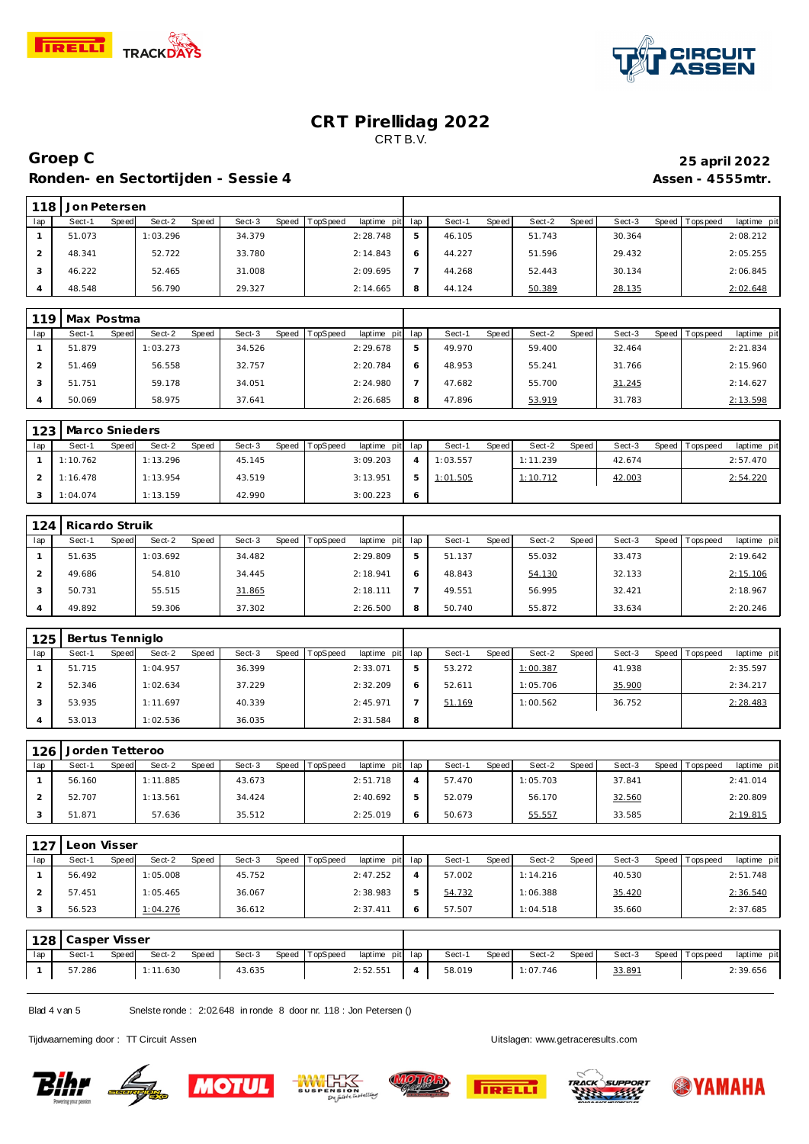



### **CRT Pirellidag 2022** CRT B.V.

### **Groep C 25 april 2022 Ronden- en Sectortijden - Sessie 4 Assen - 4555mtr.**

|     | 118 Jon Petersen |       |          |       |        |       |          |                 |        |              |        |       |        |                 |             |
|-----|------------------|-------|----------|-------|--------|-------|----------|-----------------|--------|--------------|--------|-------|--------|-----------------|-------------|
| lap | Sect-1           | Speed | Sect-2   | Speed | Sect-3 | Speed | TopSpeed | laptime pit lap | Sect-1 | <b>Speed</b> | Sect-2 | Speed | Sect-3 | Speed Tops peed | laptime pit |
|     | 51.073           |       | 1:03.296 |       | 34.379 |       |          | 2:28.748        | 46.105 |              | 51.743 |       | 30.364 |                 | 2:08.212    |
|     | 48.341           |       | 52.722   |       | 33.780 |       |          | 2:14.843        | 44.227 |              | 51.596 |       | 29.432 |                 | 2:05.255    |
|     | 46.222           |       | 52.465   |       | 31.008 |       |          | 2:09.695        | 44.268 |              | 52.443 |       | 30.134 |                 | 2:06.845    |
|     | 48.548           |       | 56.790   |       | 29.327 |       |          | 2:14.665        | 44.124 |              | 50.389 |       | 28.135 |                 | 2:02.648    |

Τ

| 119 | Max Postma      |                 |                 |                                    |   |                 |                 |                 |                           |
|-----|-----------------|-----------------|-----------------|------------------------------------|---|-----------------|-----------------|-----------------|---------------------------|
| lap | Sect-1<br>Speed | Sect-2<br>Speed | Sect-3<br>Speed | <b>TopSpeed</b><br>laptime pit lap |   | Sect-1<br>Speed | Speed<br>Sect-2 | Sect-3<br>Speed | laptime pit<br>I Topspeed |
|     | 51.879          | 1:03.273        | 34.526          | 2:29.678                           | 5 | 49.970          | 59.400          | 32.464          | 2:21.834                  |
|     | 51.469          | 56.558          | 32.757          | 2:20.784                           | 6 | 48.953          | 55.241          | 31.766          | 2:15.960                  |
|     | 51.751          | 59.178          | 34.051          | 2:24.980                           |   | 47.682          | 55.700          | 31.245          | 2:14.627                  |
|     | 50.069          | 58.975          | 37.641          | 2:26.685                           |   | 47.896          | 53.919          | 31.783          | 2:13.598                  |

|     | 123   Marco Snieders |       |          |       |        |       |          |                 |          |         |          |       |        |                 |             |
|-----|----------------------|-------|----------|-------|--------|-------|----------|-----------------|----------|---------|----------|-------|--------|-----------------|-------------|
| lap | Sect-1               | Speed | Sect-2   | Speed | Sect-3 | Speed | TopSpeed | laptime pit lap | Sect-1   | Speed I | Sect-2   | Speed | Sect-3 | Speed Tops peed | laptime pit |
|     | 1:10.762             |       | 1:13.296 |       | 45.145 |       |          | 3:09.203        | 1:03.557 |         | 1:11.239 |       | 42.674 |                 | 2:57.470    |
|     | 1:16.478             |       | 1:13.954 |       | 43.519 |       |          | 3:13.951        | 1:01.505 |         | 1:10.712 |       | 42.003 |                 | 2:54.220    |
|     | 1:04.074             |       | 1:13.159 |       | 42.990 |       |          | 3:00.223        |          |         |          |       |        |                 |             |

| 124 | Ricardo Struik |       |          |              |        |       |          |             |     |        |       |        |       |        |       |            |             |
|-----|----------------|-------|----------|--------------|--------|-------|----------|-------------|-----|--------|-------|--------|-------|--------|-------|------------|-------------|
| lap | Sect-1         | Speed | Sect-2   | <b>Speed</b> | Sect-3 | Speed | TopSpeed | laptime pit | lap | Sect-  | Speed | Sect-2 | Speed | Sect-3 | Speed | Tops pee d | laptime pit |
|     | 51.635         |       | 1:03.692 |              | 34.482 |       |          | 2:29.809    | 5   | 51.137 |       | 55.032 |       | 33.473 |       |            | 2:19.642    |
|     | 49.686         |       | 54.810   |              | 34.445 |       |          | 2:18.941    | 6   | 48.843 |       | 54.130 |       | 32.133 |       |            | 2:15.106    |
|     | 50.731         |       | 55.515   |              | 31.865 |       |          | 2:18.111    |     | 49.551 |       | 56.995 |       | 32.421 |       |            | 2:18.967    |
|     | 49.892         |       | 59.306   |              | 37.302 |       |          | 2:26.500    | 8   | 50.740 |       | 55.872 |       | 33.634 |       |            | 2:20.246    |

| 125 | Bertus Tenniglo |       |          |       |        |       |          |             |     |        |       |          |       |        |       |          |             |
|-----|-----------------|-------|----------|-------|--------|-------|----------|-------------|-----|--------|-------|----------|-------|--------|-------|----------|-------------|
| lap | Sect-1          | Speed | Sect-2   | Speed | Sect-3 | Speed | TopSpeed | laptime pit | lap | Sect-1 | Speed | Sect-2   | Speed | Sect-3 | Speed | Topspeed | laptime pit |
|     | 51.715          |       | 1:04.957 |       | 36.399 |       |          | 2:33.071    | ь   | 53.272 |       | 1:00.387 |       | 41.938 |       |          | 2:35.597    |
|     | 52.346          |       | 1:02.634 |       | 37.229 |       |          | 2:32.209    | 6   | 52.611 |       | 1:05.706 |       | 35.900 |       |          | 2:34.217    |
|     | 53.935          |       | 1:11.697 |       | 40.339 |       |          | 2:45.971    |     | 51.169 |       | 1:00.562 |       | 36.752 |       |          | 2:28.483    |
|     | 53.013          |       | 1:02.536 |       | 36.035 |       |          | 2:31.584    | 8   |        |       |          |       |        |       |          |             |

|     | 126<br>Jorden Tetteroo |       |          |       |        |       |          |                 |   |        |       |          |       |        |                 |             |
|-----|------------------------|-------|----------|-------|--------|-------|----------|-----------------|---|--------|-------|----------|-------|--------|-----------------|-------------|
| lap | Sect-1                 | Speed | Sect-2   | Speed | Sect-3 | Speed | TopSpeed | laptime pit lap |   | Sect-1 | Speed | Sect-2   | Speed | Sect-3 | Speed Tops peed | laptime pit |
|     | 56.160                 |       | 1:11.885 |       | 43.673 |       |          | 2:51.718        |   | 57.470 |       | 1:05.703 |       | 37.841 |                 | 2:41.014    |
|     | 52.707                 |       | 1:13.561 |       | 34.424 |       |          | 2:40.692        | b | 52.079 |       | 56.170   |       | 32.560 |                 | 2:20.809    |
|     | 51.871                 |       | 57.636   |       | 35.512 |       |          | 2:25.019        |   | 50.673 |       | 55.557   |       | 33.585 |                 | 2:19.815    |

| 127 | Leon Visser |       |          |       |        |       |          |                 |   |        |       |          |       |        |                 |             |
|-----|-------------|-------|----------|-------|--------|-------|----------|-----------------|---|--------|-------|----------|-------|--------|-----------------|-------------|
| lap | Sect-1      | Speed | Sect-2   | Speed | Sect-3 | Speed | TopSpeed | laptime pit lap |   | Sect-1 | Speed | Sect-2   | Speed | Sect-3 | Speed Tops peed | laptime pit |
|     | 56.492      |       | 1:05.008 |       | 45.752 |       |          | 2:47.252        |   | 57.002 |       | 1:14.216 |       | 40.530 |                 | 2:51.748    |
|     | 57.451      |       | 1:05.465 |       | 36.067 |       |          | 2:38.983        | b | 54.732 |       | 1:06.388 |       | 35.420 |                 | 2:36.540    |
|     | 56.523      |       | 1:04.276 |       | 36.612 |       |          | 2:37.411        | 6 | 57.507 |       | 1:04.518 |       | 35.660 |                 | 2:37.685    |

| 128 | Casper Visser |       |          |       |        |  |                |                 |                |        |       |          |       |        |                   |             |
|-----|---------------|-------|----------|-------|--------|--|----------------|-----------------|----------------|--------|-------|----------|-------|--------|-------------------|-------------|
| lap | Sect-         | Speed | Sect-2   | Speed | Sect-3 |  | Speed TopSpeed | laptime pit lap |                | Sect-1 | Speed | Sect-2   | Speed | Sect-3 | Speed   Tops peed | laptime pit |
|     | 57.286        |       | 1:11.630 |       | 43.635 |  |                | 2:52.551        | $\overline{4}$ | 58.019 |       | 1:07.746 |       | 33.891 |                   | 2:39.656    |

Blad 4 v an 5 Snelste ronde : 2:02.648 in ronde 8 door nr. 118 : Jon Petersen ()

Tijdwaarneming door : TT Circuit Assen Uitslagen:<www.getraceresults.com>